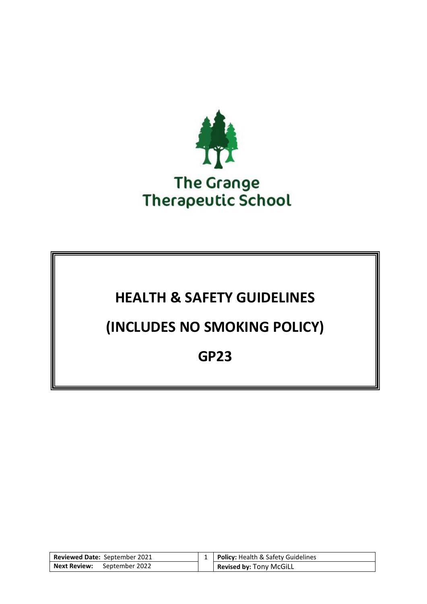

# **HEALTH & SAFETY GUIDELINES**

# **(INCLUDES NO SMOKING POLICY)**

# **GP23**

| Reviewed Date: September 2021 | 1   Policy: Health & Safety Guidelines |
|-------------------------------|----------------------------------------|
| Next Review: September 2022   | Revised by: Tony McGiLL                |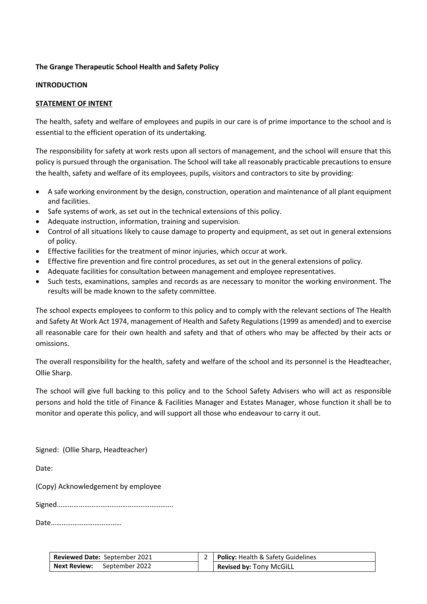# **The Grange Therapeutic School Health and Safety Policy**

#### **INTRODUCTION**

# **STATEMENT OF INTENT**

The health, safety and welfare of employees and pupils in our care is of prime importance to the school and is essential to the efficient operation of its undertaking.

The responsibility for safety at work rests upon all sectors of management, and the school will ensure that this policy is pursued through the organisation. The School will take all reasonably practicable precautions to ensure the health, safety and welfare of its employees, pupils, visitors and contractors to site by providing:

- A safe working environment by the design, construction, operation and maintenance of all plant equipment and facilities.
- Safe systems of work, as set out in the technical extensions of this policy.
- Adequate instruction, information, training and supervision.
- Control of all situations likely to cause damage to property and equipment, as set out in general extensions of policy.
- Effective facilities for the treatment of minor injuries, which occur at work.
- Effective fire prevention and fire control procedures, as set out in the general extensions of policy.
- Adequate facilities for consultation between management and employee representatives.
- Such tests, examinations, samples and records as are necessary to monitor the working environment. The results will be made known to the safety committee.

The school expects employees to conform to this policy and to comply with the relevant sections of The Health and Safety At Work Act 1974, management of Health and Safety Regulations (1999 as amended) and to exercise all reasonable care for their own health and safety and that of others who may be affected by their acts or omissions.

The overall responsibility for the health, safety and welfare of the school and its personnel is the Headteacher, Ollie Sharp.

The school will give full backing to this policy and to the School Safety Advisers who will act as responsible persons and hold the title of Finance & Facilities Manager and Estates Manager, whose function it shall be to monitor and operate this policy, and will support all those who endeavour to carry it out.

Signed: (Ollie Sharp, Headteacher)

Date:

(Copy) Acknowledgement by employee

Signed……………………………………………………….

Date…………………………………

| <b>Reviewed Date: September 2021</b> | Policy: Health & Safety Guidelines |
|--------------------------------------|------------------------------------|
| Next Review:<br>September 2022       | <b>Revised by: Tony McGiLL</b>     |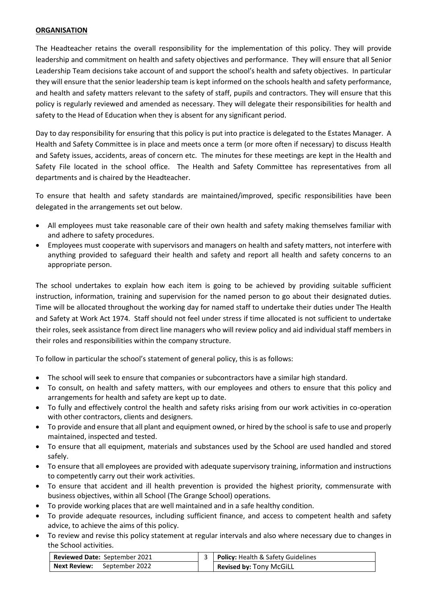# **ORGANISATION**

The Headteacher retains the overall responsibility for the implementation of this policy. They will provide leadership and commitment on health and safety objectives and performance. They will ensure that all Senior Leadership Team decisions take account of and support the school's health and safety objectives. In particular they will ensure that the senior leadership team is kept informed on the schools health and safety performance, and health and safety matters relevant to the safety of staff, pupils and contractors. They will ensure that this policy is regularly reviewed and amended as necessary. They will delegate their responsibilities for health and safety to the Head of Education when they is absent for any significant period.

Day to day responsibility for ensuring that this policy is put into practice is delegated to the Estates Manager. A Health and Safety Committee is in place and meets once a term (or more often if necessary) to discuss Health and Safety issues, accidents, areas of concern etc. The minutes for these meetings are kept in the Health and Safety File located in the school office. The Health and Safety Committee has representatives from all departments and is chaired by the Headteacher.

To ensure that health and safety standards are maintained/improved, specific responsibilities have been delegated in the arrangements set out below.

- All employees must take reasonable care of their own health and safety making themselves familiar with and adhere to safety procedures.
- Employees must cooperate with supervisors and managers on health and safety matters, not interfere with anything provided to safeguard their health and safety and report all health and safety concerns to an appropriate person.

The school undertakes to explain how each item is going to be achieved by providing suitable sufficient instruction, information, training and supervision for the named person to go about their designated duties. Time will be allocated throughout the working day for named staff to undertake their duties under The Health and Safety at Work Act 1974. Staff should not feel under stress if time allocated is not sufficient to undertake their roles, seek assistance from direct line managers who will review policy and aid individual staff members in their roles and responsibilities within the company structure.

To follow in particular the school's statement of general policy, this is as follows:

- The school will seek to ensure that companies or subcontractors have a similar high standard.
- To consult, on health and safety matters, with our employees and others to ensure that this policy and arrangements for health and safety are kept up to date.
- To fully and effectively control the health and safety risks arising from our work activities in co-operation with other contractors, clients and designers.
- To provide and ensure that all plant and equipment owned, or hired by the school is safe to use and properly maintained, inspected and tested.
- To ensure that all equipment, materials and substances used by the School are used handled and stored safely.
- To ensure that all employees are provided with adequate supervisory training, information and instructions to competently carry out their work activities.
- To ensure that accident and ill health prevention is provided the highest priority, commensurate with business objectives, within all School (The Grange School) operations.
- To provide working places that are well maintained and in a safe healthy condition.
- To provide adequate resources, including sufficient finance, and access to competent health and safety advice, to achieve the aims of this policy.
- To review and revise this policy statement at regular intervals and also where necessary due to changes in the School activities.

| Reviewed Date: September 2021      | 3   Policy: Health & Safety Guidelines |
|------------------------------------|----------------------------------------|
| <b>Next Review:</b> September 2022 | <b>Revised by: Tony McGiLL</b>         |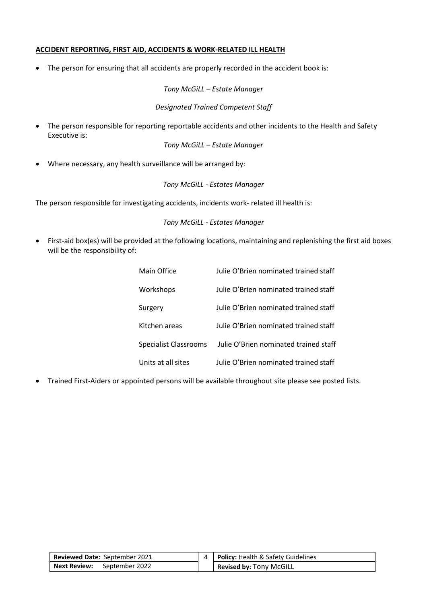### **ACCIDENT REPORTING, FIRST AID, ACCIDENTS & WORK-RELATED ILL HEALTH**

• The person for ensuring that all accidents are properly recorded in the accident book is:

#### *Tony McGiLL – Estate Manager*

# *Designated Trained Competent Staff*

• The person responsible for reporting reportable accidents and other incidents to the Health and Safety Executive is:

#### *Tony McGiLL – Estate Manager*

• Where necessary, any health surveillance will be arranged by:

# *Tony McGiLL - Estates Manager*

The person responsible for investigating accidents, incidents work- related ill health is:

# *Tony McGiLL - Estates Manager*

• First-aid box(es) will be provided at the following locations, maintaining and replenishing the first aid boxes will be the responsibility of:

| Main Office                  | Julie O'Brien nominated trained staff |
|------------------------------|---------------------------------------|
| Workshops                    | Julie O'Brien nominated trained staff |
| Surgery                      | Julie O'Brien nominated trained staff |
| Kitchen areas                | Julie O'Brien nominated trained staff |
| <b>Specialist Classrooms</b> | Julie O'Brien nominated trained staff |
| Units at all sites           | Julie O'Brien nominated trained staff |

• Trained First-Aiders or appointed persons will be available throughout site please see posted lists.

| Reviewed Date: September 2021      | 4   <b>Policy:</b> Health & Safety Guidelines |
|------------------------------------|-----------------------------------------------|
| <b>Next Review:</b> September 2022 | <b>Revised by: Tony McGiLL</b>                |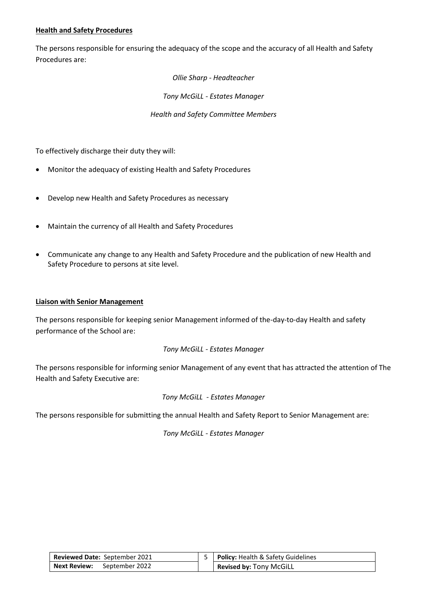# **Health and Safety Procedures**

The persons responsible for ensuring the adequacy of the scope and the accuracy of all Health and Safety Procedures are:

*Ollie Sharp - Headteacher*

*Tony McGiLL - Estates Manager*

*Health and Safety Committee Members*

To effectively discharge their duty they will:

- Monitor the adequacy of existing Health and Safety Procedures
- Develop new Health and Safety Procedures as necessary
- Maintain the currency of all Health and Safety Procedures
- Communicate any change to any Health and Safety Procedure and the publication of new Health and Safety Procedure to persons at site level.

### **Liaison with Senior Management**

The persons responsible for keeping senior Management informed of the-day-to-day Health and safety performance of the School are:

#### *Tony McGiLL - Estates Manager*

The persons responsible for informing senior Management of any event that has attracted the attention of The Health and Safety Executive are:

# *Tony McGiLL - Estates Manager*

The persons responsible for submitting the annual Health and Safety Report to Senior Management are:

| Reviewed Date: September 2021      | 5   Policy: Health & Safety Guidelines |
|------------------------------------|----------------------------------------|
| <b>Next Review:</b> September 2022 | Revised by: Tony McGiLL                |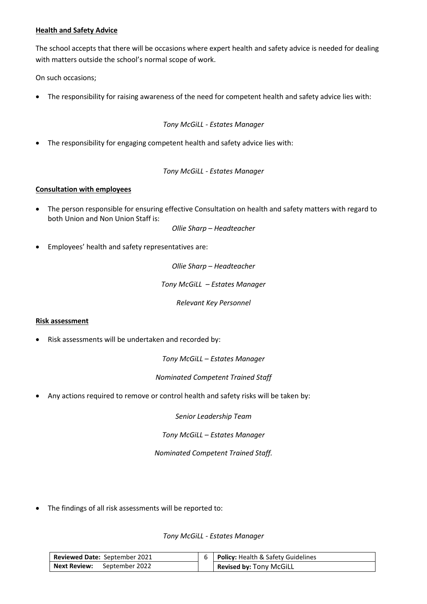# **Health and Safety Advice**

The school accepts that there will be occasions where expert health and safety advice is needed for dealing with matters outside the school's normal scope of work.

On such occasions;

• The responsibility for raising awareness of the need for competent health and safety advice lies with:

*Tony McGiLL - Estates Manager*

• The responsibility for engaging competent health and safety advice lies with:

*Tony McGiLL - Estates Manager*

# **Consultation with employees**

• The person responsible for ensuring effective Consultation on health and safety matters with regard to both Union and Non Union Staff is:

*Ollie Sharp – Headteacher*

• Employees' health and safety representatives are:

*Ollie Sharp – Headteacher*

*Tony McGiLL – Estates Manager*

*Relevant Key Personnel*

#### **Risk assessment**

• Risk assessments will be undertaken and recorded by:

*Tony McGiLL – Estates Manager*

*Nominated Competent Trained Staff*

• Any actions required to remove or control health and safety risks will be taken by:

*Senior Leadership Team*

*Tony McGiLL – Estates Manager*

*Nominated Competent Trained Staff.*

• The findings of all risk assessments will be reported to:

| <b>Reviewed Date: September 2021</b> | <b>Policy: Health &amp; Safety Guidelines</b> |
|--------------------------------------|-----------------------------------------------|
| <b>Next Review:</b> September 2022   | <b>Revised by: Tony McGiLL</b>                |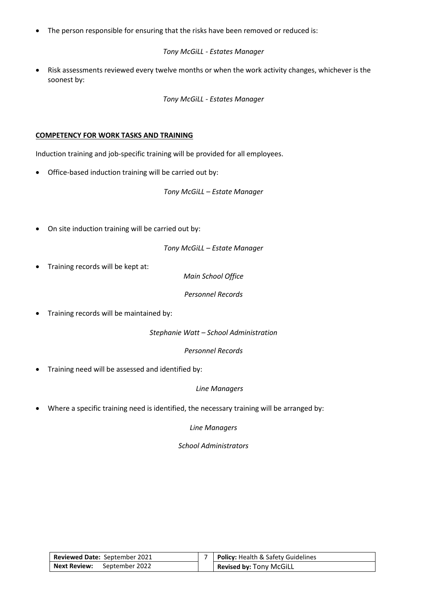The person responsible for ensuring that the risks have been removed or reduced is:

*Tony McGiLL - Estates Manager* 

• Risk assessments reviewed every twelve months or when the work activity changes, whichever is the soonest by:

*Tony McGiLL - Estates Manager*

# **COMPETENCY FOR WORK TASKS AND TRAINING**

Induction training and job-specific training will be provided for all employees.

• Office-based induction training will be carried out by:

*Tony McGiLL – Estate Manager*

• On site induction training will be carried out by:

*Tony McGiLL – Estate Manager*

• Training records will be kept at:

*Main School Office*

*Personnel Records*

• Training records will be maintained by:

*Stephanie Watt – School Administration*

*Personnel Records*

• Training need will be assessed and identified by:

#### *Line Managers*

• Where a specific training need is identified, the necessary training will be arranged by:

*Line Managers*

*School Administrators* 

| <b>Reviewed Date: September 2021</b> | <b>Policy: Health &amp; Safety Guidelines</b> |
|--------------------------------------|-----------------------------------------------|
| <b>Next Review:</b> September 2022   | Revised by: Tony McGiLL                       |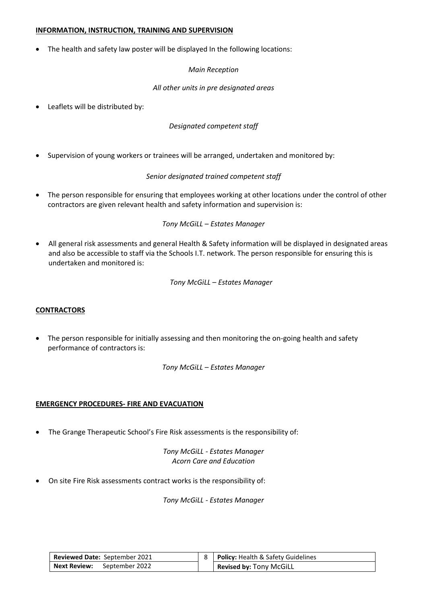#### **INFORMATION, INSTRUCTION, TRAINING AND SUPERVISION**

• The health and safety law poster will be displayed In the following locations:

### *Main Reception*

### *All other units in pre designated areas*

• Leaflets will be distributed by:

*Designated competent staff*

• Supervision of young workers or trainees will be arranged, undertaken and monitored by:

*Senior designated trained competent staff*

The person responsible for ensuring that employees working at other locations under the control of other contractors are given relevant health and safety information and supervision is:

*Tony McGiLL – Estates Manager*

• All general risk assessments and general Health & Safety information will be displayed in designated areas and also be accessible to staff via the Schools I.T. network. The person responsible for ensuring this is undertaken and monitored is:

*Tony McGiLL – Estates Manager*

#### **CONTRACTORS**

• The person responsible for initially assessing and then monitoring the on-going health and safety performance of contractors is:

*Tony McGiLL – Estates Manager*

#### **EMERGENCY PROCEDURES- FIRE AND EVACUATION**

• The Grange Therapeutic School's Fire Risk assessments is the responsibility of:

*Tony McGiLL - Estates Manager Acorn Care and Education*

• On site Fire Risk assessments contract works is the responsibility of:

| <b>Reviewed Date: September 2021</b> | 8   Policy: Health & Safety Guidelines |
|--------------------------------------|----------------------------------------|
| <b>Next Review:</b> September 2022   | <b>Revised by: Tony McGiLL</b>         |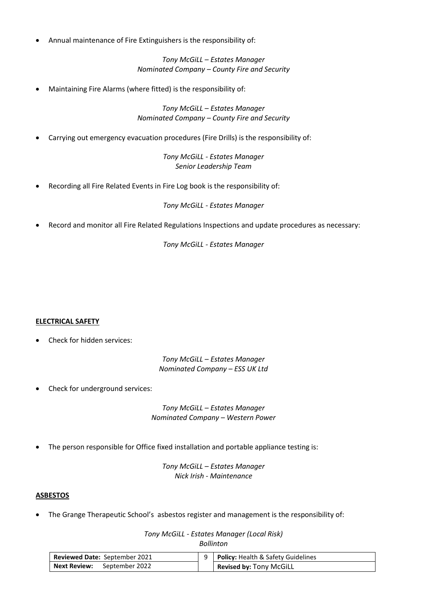• Annual maintenance of Fire Extinguishers is the responsibility of:

*Tony McGiLL – Estates Manager Nominated Company – County Fire and Security*

• Maintaining Fire Alarms (where fitted) is the responsibility of:

*Tony McGiLL – Estates Manager Nominated Company – County Fire and Security*

• Carrying out emergency evacuation procedures (Fire Drills) is the responsibility of:

*Tony McGiLL - Estates Manager Senior Leadership Team*

• Recording all Fire Related Events in Fire Log book is the responsibility of:

*Tony McGiLL - Estates Manager*

• Record and monitor all Fire Related Regulations Inspections and update procedures as necessary:

*Tony McGiLL - Estates Manager*

#### **ELECTRICAL SAFETY**

• Check for hidden services:

*Tony McGiLL – Estates Manager Nominated Company – ESS UK Ltd*

Check for underground services:

*Tony McGiLL – Estates Manager Nominated Company – Western Power*

• The person responsible for Office fixed installation and portable appliance testing is:

*Tony McGiLL – Estates Manager Nick Irish - Maintenance*

#### **ASBESTOS**

The Grange Therapeutic School's asbestos register and management is the responsibility of:

*Tony McGiLL - Estates Manager (Local Risk) Bollinton*

| <b>Reviewed Date: September 2021</b> | 9   Policy: Health & Safety Guidelines |
|--------------------------------------|----------------------------------------|
| Next Review: September 2022          | Revised by: Tony McGiLL                |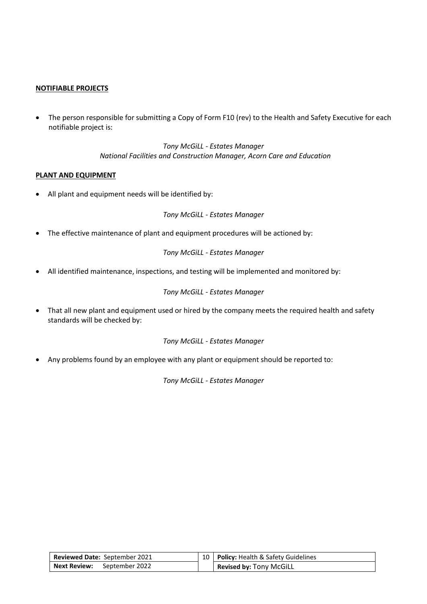# **NOTIFIABLE PROJECTS**

• The person responsible for submitting a Copy of Form F10 (rev) to the Health and Safety Executive for each notifiable project is:

> *Tony McGiLL - Estates Manager National Facilities and Construction Manager, Acorn Care and Education*

#### **PLANT AND EQUIPMENT**

• All plant and equipment needs will be identified by:

*Tony McGiLL - Estates Manager*

• The effective maintenance of plant and equipment procedures will be actioned by:

*Tony McGiLL - Estates Manager*

• All identified maintenance, inspections, and testing will be implemented and monitored by:

*Tony McGiLL - Estates Manager*

• That all new plant and equipment used or hired by the company meets the required health and safety standards will be checked by:

*Tony McGiLL - Estates Manager*

• Any problems found by an employee with any plant or equipment should be reported to:

| <b>Reviewed Date: September 2021</b> | 10   Policy: Health & Safety Guidelines |
|--------------------------------------|-----------------------------------------|
| <b>Next Review:</b> September 2022   | Revised by: Tony McGiLL                 |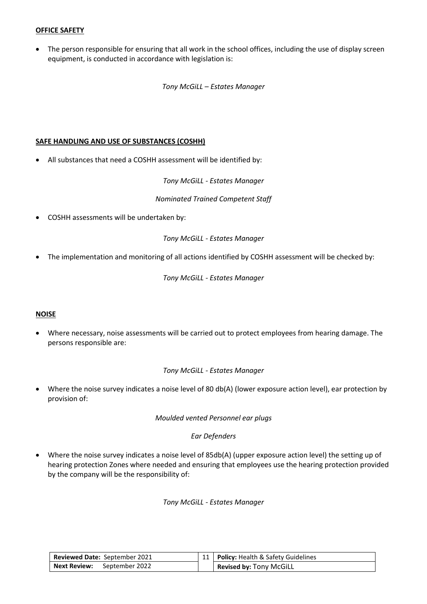# **OFFICE SAFETY**

• The person responsible for ensuring that all work in the school offices, including the use of display screen equipment, is conducted in accordance with legislation is:

*Tony McGiLL – Estates Manager*

#### **SAFE HANDLING AND USE OF SUBSTANCES (COSHH)**

• All substances that need a COSHH assessment will be identified by:

*Tony McGiLL - Estates Manager* 

*Nominated Trained Competent Staff*

• COSHH assessments will be undertaken by:

*Tony McGiLL - Estates Manager*

• The implementation and monitoring of all actions identified by COSHH assessment will be checked by:

*Tony McGiLL - Estates Manager*

#### **NOISE**

• Where necessary, noise assessments will be carried out to protect employees from hearing damage. The persons responsible are:

#### *Tony McGiLL - Estates Manager*

• Where the noise survey indicates a noise level of 80 db(A) (lower exposure action level), ear protection by provision of:

*Moulded vented Personnel ear plugs*

#### *Ear Defenders*

• Where the noise survey indicates a noise level of 85db(A) (upper exposure action level) the setting up of hearing protection Zones where needed and ensuring that employees use the hearing protection provided by the company will be the responsibility of:

| Reviewed Date: September 2021      | 11   Policy: Health & Safety Guidelines |
|------------------------------------|-----------------------------------------|
| <b>Next Review:</b> September 2022 | Revised by: Tony McGiLL                 |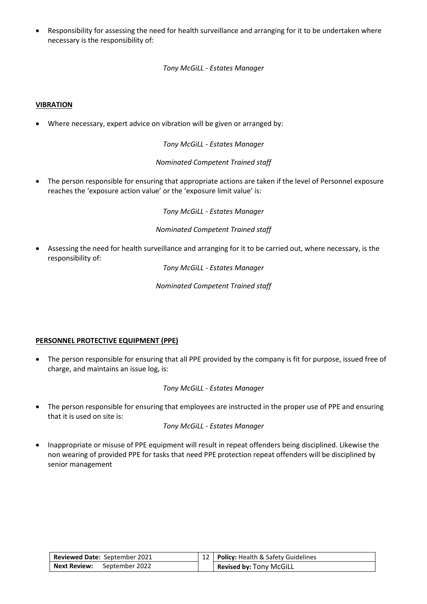• Responsibility for assessing the need for health surveillance and arranging for it to be undertaken where necessary is the responsibility of:

*Tony McGiLL - Estates Manager*

# **VIBRATION**

• Where necessary, expert advice on vibration will be given or arranged by:

*Tony McGiLL - Estates Manager*

*Nominated Competent Trained staff*

• The person responsible for ensuring that appropriate actions are taken if the level of Personnel exposure reaches the 'exposure action value' or the 'exposure limit value' is:

*Tony McGiLL - Estates Manager*

*Nominated Competent Trained staff*

• Assessing the need for health surveillance and arranging for it to be carried out, where necessary, is the responsibility of:

*Tony McGiLL - Estates Manager*

*Nominated Competent Trained staff*

#### **PERSONNEL PROTECTIVE EQUIPMENT (PPE)**

• The person responsible for ensuring that all PPE provided by the company is fit for purpose, issued free of charge, and maintains an issue log, is:

*Tony McGiLL - Estates Manager*

• The person responsible for ensuring that employees are instructed in the proper use of PPE and ensuring that it is used on site is:

*Tony McGiLL - Estates Manager*

• Inappropriate or misuse of PPE equipment will result in repeat offenders being disciplined. Likewise the non wearing of provided PPE for tasks that need PPE protection repeat offenders will be disciplined by senior management

| <b>Reviewed Date: September 2021</b> | 12   <b>Policy:</b> Health & Safety Guidelines |
|--------------------------------------|------------------------------------------------|
| <b>Next Review:</b> September 2022   | <b>Revised by: Tony McGiLL</b>                 |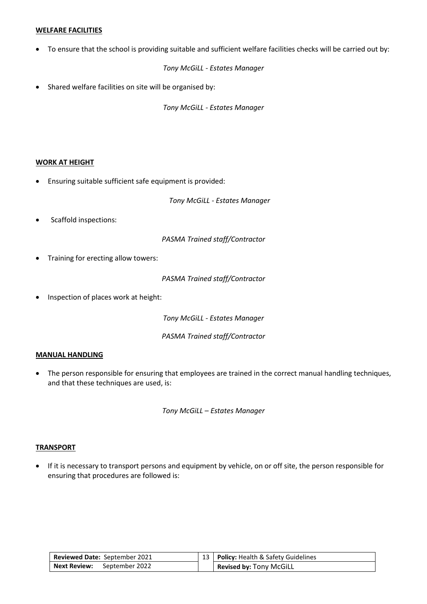#### **WELFARE FACILITIES**

• To ensure that the school is providing suitable and sufficient welfare facilities checks will be carried out by:

*Tony McGiLL - Estates Manager*

• Shared welfare facilities on site will be organised by:

*Tony McGiLL - Estates Manager*

# **WORK AT HEIGHT**

• Ensuring suitable sufficient safe equipment is provided:

*Tony McGiLL - Estates Manager*

Scaffold inspections:

*PASMA Trained staff/Contractor*

• Training for erecting allow towers:

*PASMA Trained staff/Contractor*

• Inspection of places work at height:

*Tony McGiLL - Estates Manager*

*PASMA Trained staff/Contractor*

#### **MANUAL HANDLING**

• The person responsible for ensuring that employees are trained in the correct manual handling techniques, and that these techniques are used, is:

*Tony McGiLL – Estates Manager*

#### **TRANSPORT**

• If it is necessary to transport persons and equipment by vehicle, on or off site, the person responsible for ensuring that procedures are followed is:

| Reviewed Date: September 2021      | 13   Policy: Health & Safety Guidelines |
|------------------------------------|-----------------------------------------|
| <b>Next Review:</b> September 2022 | <b>Revised by: Tony McGiLL</b>          |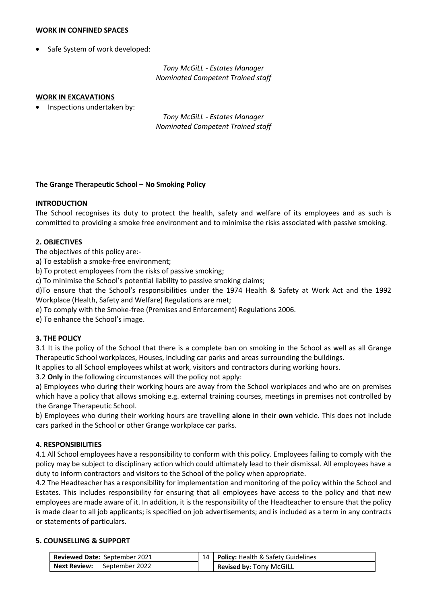#### **WORK IN CONFINED SPACES**

Safe System of work developed:

*Tony McGiLL - Estates Manager Nominated Competent Trained staff*

#### **WORK IN EXCAVATIONS**

• Inspections undertaken by:

*Tony McGiLL - Estates Manager Nominated Competent Trained staff*

#### **The Grange Therapeutic School – No Smoking Policy**

# **INTRODUCTION**

The School recognises its duty to protect the health, safety and welfare of its employees and as such is committed to providing a smoke free environment and to minimise the risks associated with passive smoking.

# **2. OBJECTIVES**

The objectives of this policy are:-

a) To establish a smoke-free environment;

b) To protect employees from the risks of passive smoking;

c) To minimise the School's potential liability to passive smoking claims;

d)To ensure that the School's responsibilities under the 1974 Health & Safety at Work Act and the 1992 Workplace (Health, Safety and Welfare) Regulations are met;

e) To comply with the Smoke-free (Premises and Enforcement) Regulations 2006.

e) To enhance the School's image.

#### **3. THE POLICY**

3.1 It is the policy of the School that there is a complete ban on smoking in the School as well as all Grange Therapeutic School workplaces, Houses, including car parks and areas surrounding the buildings.

It applies to all School employees whilst at work, visitors and contractors during working hours.

3.2 **Only** in the following circumstances will the policy not apply:

a) Employees who during their working hours are away from the School workplaces and who are on premises which have a policy that allows smoking e.g. external training courses, meetings in premises not controlled by the Grange Therapeutic School.

b) Employees who during their working hours are travelling **alone** in their **own** vehicle. This does not include cars parked in the School or other Grange workplace car parks.

#### **4. RESPONSIBILITIES**

4.1 All School employees have a responsibility to conform with this policy. Employees failing to comply with the policy may be subject to disciplinary action which could ultimately lead to their dismissal. All employees have a duty to inform contractors and visitors to the School of the policy when appropriate.

4.2 The Headteacher has a responsibility for implementation and monitoring of the policy within the School and Estates. This includes responsibility for ensuring that all employees have access to the policy and that new employees are made aware of it. In addition, it is the responsibility of the Headteacher to ensure that the policy is made clear to all job applicants; is specified on job advertisements; and is included as a term in any contracts or statements of particulars.

# **5. COUNSELLING & SUPPORT**

| Reviewed Date: September 2021      | 14   Policy: Health & Safety Guidelines |
|------------------------------------|-----------------------------------------|
| <b>Next Review:</b> September 2022 | Revised by: Tony McGiLL                 |